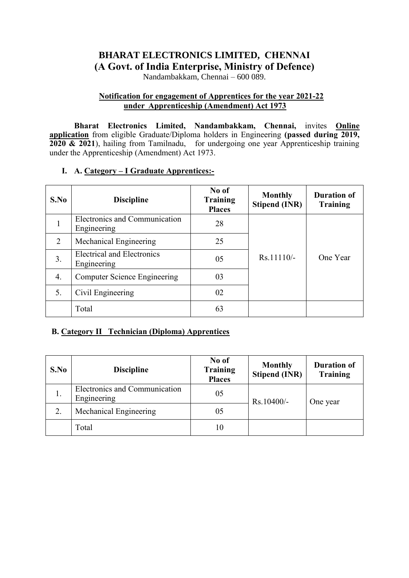# **BHARAT ELECTRONICS LIMITED, CHENNAI (A Govt. of India Enterprise, Ministry of Defence)**

Nandambakkam, Chennai – 600 089.

# **Notification for engagement of Apprentices for the year 2021-22 under Apprenticeship (Amendment) Act 1973**

**Bharat Electronics Limited, Nandambakkam, Chennai,** invites **Online application** from eligible Graduate/Diploma holders in Engineering **(passed during 2019, 2020 & 2021**), hailing from Tamilnadu, for undergoing one year Apprenticeship training under the Apprenticeship (Amendment) Act 1973.

# **I. A. Category – I Graduate Apprentices:-**

| S.No | <b>Discipline</b>                                | No of<br><b>Training</b><br><b>Places</b> | <b>Monthly</b><br><b>Stipend (INR)</b> | <b>Duration of</b><br><b>Training</b> |
|------|--------------------------------------------------|-------------------------------------------|----------------------------------------|---------------------------------------|
|      | Electronics and Communication<br>Engineering     | 28                                        |                                        |                                       |
| 2    | Mechanical Engineering                           | 25                                        |                                        |                                       |
| 3.   | <b>Electrical and Electronics</b><br>Engineering | 05                                        | $Rs.11110/-$                           | One Year                              |
| 4.   | <b>Computer Science Engineering</b>              | 03                                        |                                        |                                       |
| 5.   | Civil Engineering                                | 02                                        |                                        |                                       |
|      | Total                                            | 63                                        |                                        |                                       |

# **B. Category II Technician (Diploma) Apprentices**

| S.No | <b>Discipline</b>                            | No of<br><b>Training</b><br><b>Places</b> | <b>Monthly</b><br><b>Stipend (INR)</b> | <b>Duration of</b><br><b>Training</b> |
|------|----------------------------------------------|-------------------------------------------|----------------------------------------|---------------------------------------|
| 1.   | Electronics and Communication<br>Engineering | 05                                        | Rs.10400/-                             | One year                              |
| 2.   | Mechanical Engineering                       | 05                                        |                                        |                                       |
|      | Total                                        | 10                                        |                                        |                                       |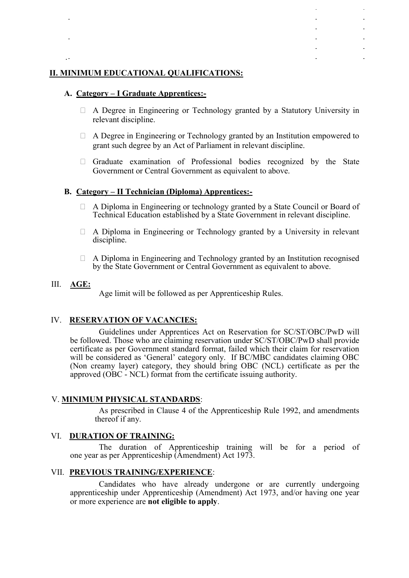## **II. MINIMUM EDUCATIONAL QUALIFICATIONS:**

## **A. Category – I Graduate Apprentices:-**

- A Degree in Engineering or Technology granted by a Statutory University in relevant discipline.
- A Degree in Engineering or Technology granted by an Institution empowered to grant such degree by an Act of Parliament in relevant discipline.
- Graduate examination of Professional bodies recognized by the State Government or Central Government as equivalent to above.

## **B. Category – II Technician (Diploma) Apprentices:-**

- A Diploma in Engineering or technology granted by a State Council or Board of Technical Education established by a State Government in relevant discipline.
- A Diploma in Engineering or Technology granted by a University in relevant discipline.
- A Diploma in Engineering and Technology granted by an Institution recognised by the State Government or Central Government as equivalent to above.

## III. **AGE:**

Age limit will be followed as per Apprenticeship Rules.

## IV. **RESERVATION OF VACANCIES:**

Guidelines under Apprentices Act on Reservation for SC/ST/OBC/PwD will be followed. Those who are claiming reservation under SC/ST/OBC/PwD shall provide certificate as per Government standard format, failed which their claim for reservation will be considered as 'General' category only. If BC/MBC candidates claiming OBC (Non creamy layer) category, they should bring OBC (NCL) certificate as per the approved (OBC - NCL) format from the certificate issuing authority.

## V. **MINIMUM PHYSICAL STANDARDS**:

As prescribed in Clause 4 of the Apprenticeship Rule 1992, and amendments thereof if any.

### VI. **DURATION OF TRAINING:**

The duration of Apprenticeship training will be for a period of one year as per Apprenticeship (Amendment) Act 1973.

## VII. **PREVIOUS TRAINING/EXPERIENCE**:

 Candidates who have already undergone or are currently undergoing apprenticeship under Apprenticeship (Amendment) Act 1973, and/or having one year or more experience are **not eligible to apply**.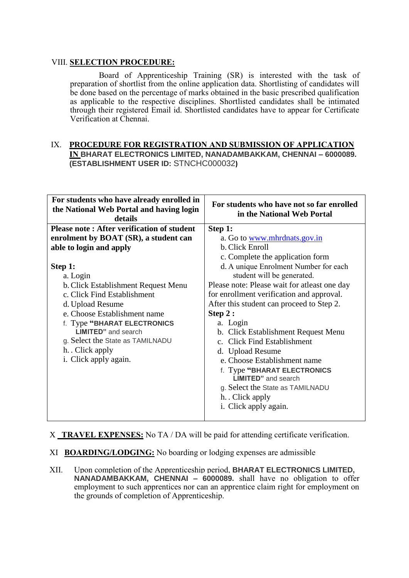## VIII. **SELECTION PROCEDURE:**

 Board of Apprenticeship Training (SR) is interested with the task of preparation of shortlist from the online application data. Shortlisting of candidates will be done based on the percentage of marks obtained in the basic prescribed qualification as applicable to the respective disciplines. Shortlisted candidates shall be intimated through their registered Email id. Shortlisted candidates have to appear for Certificate Verification at Chennai.

# IX. **PROCEDURE FOR REGISTRATION AND SUBMISSION OF APPLICATION IN BHARAT ELECTRONICS LIMITED, NANADAMBAKKAM, CHENNAI – 6000089. (ESTABLISHMENT USER ID:** STNCHC000032**)**

| For students who have already enrolled in<br>the National Web Portal and having login<br>details                                                                                                                                                                                | For students who have not so far enrolled<br>in the National Web Portal                                                                                                                                                                                                                                                                                                                                                                                               |  |  |
|---------------------------------------------------------------------------------------------------------------------------------------------------------------------------------------------------------------------------------------------------------------------------------|-----------------------------------------------------------------------------------------------------------------------------------------------------------------------------------------------------------------------------------------------------------------------------------------------------------------------------------------------------------------------------------------------------------------------------------------------------------------------|--|--|
| <b>Please note: After verification of student</b>                                                                                                                                                                                                                               | Step 1:                                                                                                                                                                                                                                                                                                                                                                                                                                                               |  |  |
| enrolment by BOAT (SR), a student can                                                                                                                                                                                                                                           | a. Go to <u>www.mhrdnats.gov.in</u>                                                                                                                                                                                                                                                                                                                                                                                                                                   |  |  |
| able to login and apply                                                                                                                                                                                                                                                         | b. Click Enroll                                                                                                                                                                                                                                                                                                                                                                                                                                                       |  |  |
|                                                                                                                                                                                                                                                                                 | c. Complete the application form                                                                                                                                                                                                                                                                                                                                                                                                                                      |  |  |
| Step 1:                                                                                                                                                                                                                                                                         | d. A unique Enrolment Number for each                                                                                                                                                                                                                                                                                                                                                                                                                                 |  |  |
| a. Login<br>b. Click Establishment Request Menu<br>c. Click Find Establishment<br>d. Upload Resume<br>e. Choose Establishment name<br>f. Type "BHARAT ELECTRONICS<br><b>LIMITED</b> " and search<br>g. Select the State as TAMILNADU<br>h. Click apply<br>i. Click apply again. | student will be generated.<br>Please note: Please wait for at least one day<br>for enrollment verification and approval.<br>After this student can proceed to Step 2.<br>Step $2:$<br>a. Login<br>b. Click Establishment Request Menu<br>c. Click Find Establishment<br>d. Upload Resume<br>e. Choose Establishment name<br>f. Type "BHARAT ELECTRONICS<br><b>LIMITED</b> " and search<br>g. Select the State as TAMILNADU<br>h. Click apply<br>i. Click apply again. |  |  |

X **TRAVEL EXPENSES:** No TA / DA will be paid for attending certificate verification.

- XI **BOARDING/LODGING:** No boarding or lodging expenses are admissible
- XII. Upon completion of the Apprenticeship period, **BHARAT ELECTRONICS LIMITED, NANADAMBAKKAM, CHENNAI – 6000089.** shall have no obligation to offer employment to such apprentices nor can an apprentice claim right for employment on the grounds of completion of Apprenticeship.